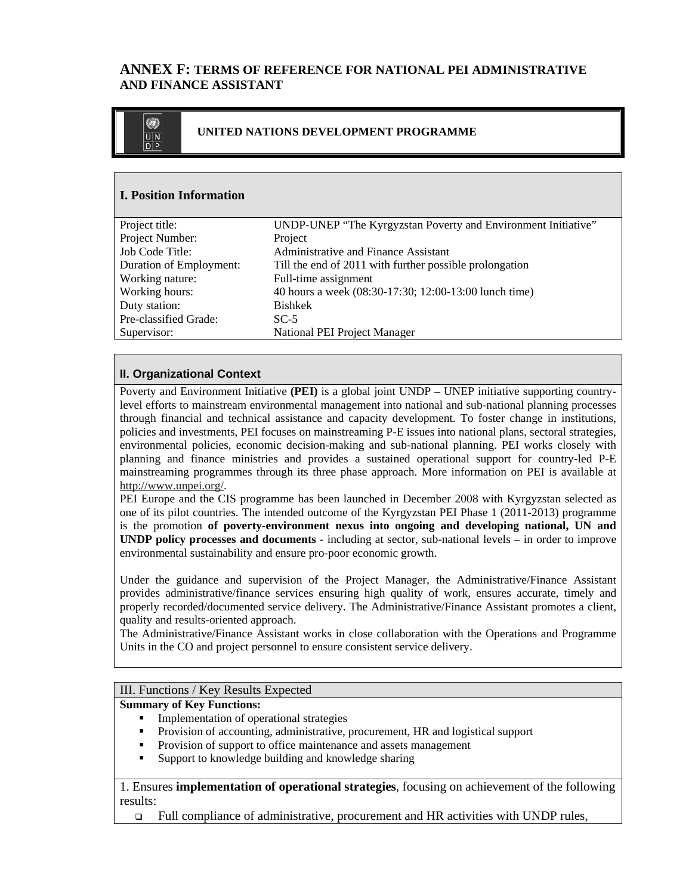# **ANNEX F: TERMS OF REFERENCE FOR NATIONAL PEI ADMINISTRATIVE AND FINANCE ASSISTANT**



## **I. Position Information**

| Project title:          | UNDP-UNEP "The Kyrgyzstan Poverty and Environment Initiative" |
|-------------------------|---------------------------------------------------------------|
| Project Number:         | Project                                                       |
| Job Code Title:         | Administrative and Finance Assistant                          |
| Duration of Employment: | Till the end of 2011 with further possible prolongation       |
| Working nature:         | Full-time assignment                                          |
| Working hours:          | 40 hours a week (08:30-17:30; 12:00-13:00 lunch time)         |
| Duty station:           | <b>Bishkek</b>                                                |
| Pre-classified Grade:   | $SC-5$                                                        |
| Supervisor:             | National PEI Project Manager                                  |
|                         |                                                               |

## **II. Organizational Context**

Poverty and Environment Initiative **(PEI)** is a global joint UNDP – UNEP initiative supporting countrylevel efforts to mainstream environmental management into national and sub-national planning processes through financial and technical assistance and capacity development. To foster change in institutions, policies and investments, PEI focuses on mainstreaming P-E issues into national plans, sectoral strategies, environmental policies, economic decision-making and sub-national planning. PEI works closely with planning and finance ministries and provides a sustained operational support for country-led P-E mainstreaming programmes through its three phase approach. More information on PEI is available at http://www.unpei.org/.

PEI Europe and the CIS programme has been launched in December 2008 with Kyrgyzstan selected as one of its pilot countries. The intended outcome of the Kyrgyzstan PEI Phase 1 (2011-2013) programme is the promotion **of poverty-environment nexus into ongoing and developing national, UN and UNDP policy processes and documents** - including at sector, sub-national levels – in order to improve environmental sustainability and ensure pro-poor economic growth.

Under the guidance and supervision of the Project Manager, the Administrative/Finance Assistant provides administrative/finance services ensuring high quality of work, ensures accurate, timely and properly recorded/documented service delivery. The Administrative/Finance Assistant promotes a client, quality and results-oriented approach.

The Administrative/Finance Assistant works in close collaboration with the Operations and Programme Units in the CO and project personnel to ensure consistent service delivery.

## III. Functions / Key Results Expected

#### **Summary of Key Functions:**

- **Implementation of operational strategies**
- Provision of accounting, administrative, procurement, HR and logistical support
- Provision of support to office maintenance and assets management
- Support to knowledge building and knowledge sharing

1. Ensures **implementation of operational strategies**, focusing on achievement of the following results:

Full compliance of administrative, procurement and HR activities with UNDP rules,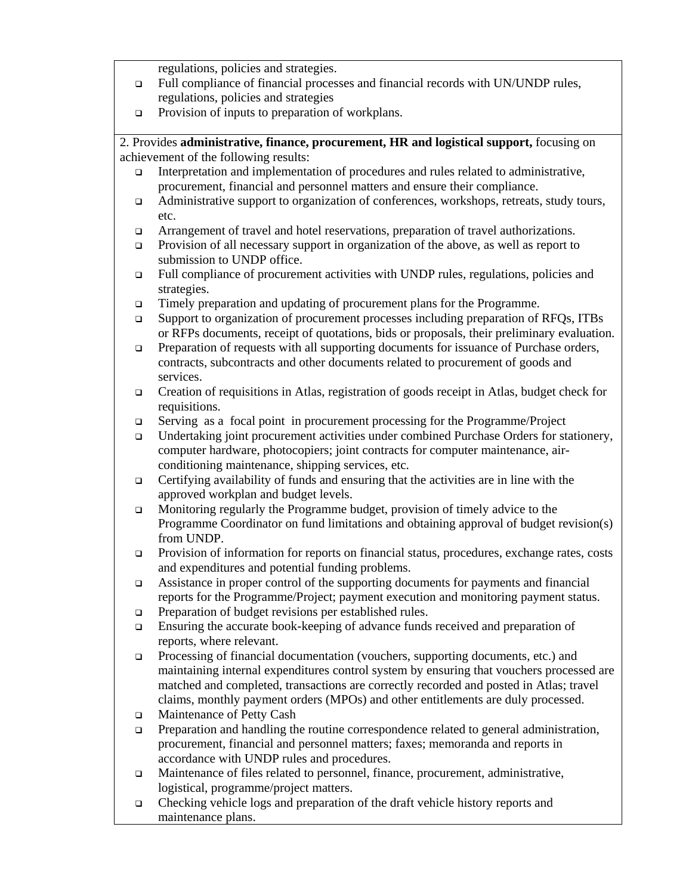regulations, policies and strategies.

- Full compliance of financial processes and financial records with UN/UNDP rules, regulations, policies and strategies
- **Provision of inputs to preparation of workplans.**

2. Provides **administrative, finance, procurement, HR and logistical support,** focusing on achievement of the following results:

- Interpretation and implementation of procedures and rules related to administrative, procurement, financial and personnel matters and ensure their compliance.
- Administrative support to organization of conferences, workshops, retreats, study tours, etc.
- Arrangement of travel and hotel reservations, preparation of travel authorizations.
- Provision of all necessary support in organization of the above, as well as report to submission to UNDP office.
- Full compliance of procurement activities with UNDP rules, regulations, policies and strategies.
- Timely preparation and updating of procurement plans for the Programme.
- Support to organization of procurement processes including preparation of RFQs, ITBs or RFPs documents, receipt of quotations, bids or proposals, their preliminary evaluation.
- □ Preparation of requests with all supporting documents for issuance of Purchase orders, contracts, subcontracts and other documents related to procurement of goods and services.
- Creation of requisitions in Atlas, registration of goods receipt in Atlas, budget check for requisitions.
- Serving as a focal point in procurement processing for the Programme/Project
- Undertaking joint procurement activities under combined Purchase Orders for stationery, computer hardware, photocopiers; joint contracts for computer maintenance, airconditioning maintenance, shipping services, etc.
- $\Box$  Certifying availability of funds and ensuring that the activities are in line with the approved workplan and budget levels.
- Monitoring regularly the Programme budget, provision of timely advice to the Programme Coordinator on fund limitations and obtaining approval of budget revision(s) from UNDP.
- Provision of information for reports on financial status, procedures, exchange rates, costs and expenditures and potential funding problems.
- Assistance in proper control of the supporting documents for payments and financial reports for the Programme/Project; payment execution and monitoring payment status.
- **Preparation of budget revisions per established rules.**
- Ensuring the accurate book-keeping of advance funds received and preparation of reports, where relevant.
- Processing of financial documentation (vouchers, supporting documents, etc.) and maintaining internal expenditures control system by ensuring that vouchers processed are matched and completed, transactions are correctly recorded and posted in Atlas; travel claims, monthly payment orders (MPOs) and other entitlements are duly processed.
- □ Maintenance of Petty Cash
- $\Box$  Preparation and handling the routine correspondence related to general administration, procurement, financial and personnel matters; faxes; memoranda and reports in accordance with UNDP rules and procedures.
- Maintenance of files related to personnel, finance, procurement, administrative, logistical, programme/project matters.
- Checking vehicle logs and preparation of the draft vehicle history reports and maintenance plans.